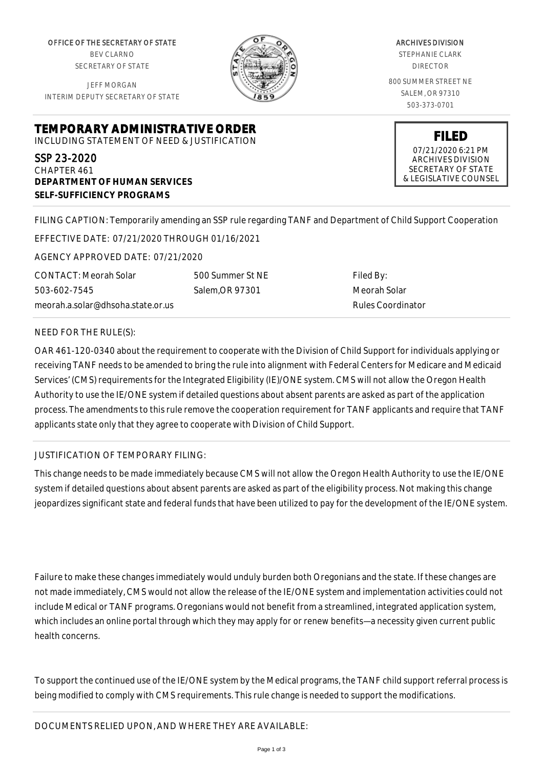OFFICE OF THE SECRETARY OF STATE BEV CLARNO SECRETARY OF STATE

JEFF MORGAN INTERIM DEPUTY SECRETARY OF STATE



ARCHIVES DIVISION STEPHANIE CLARK DIRECTOR 800 SUMMER STREET NE SALEM, OR 97310 503-373-0701

> **FILED** 07/21/2020 6:21 PM ARCHIVES DIVISION SECRETARY OF STATE & LEGISLATIVE COUNSEL

**TEMPORARY ADMINISTRATIVE ORDER** INCLUDING STATEMENT OF NEED & JUSTIFICATION

SSP 23-2020 CHAPTER 461 **DEPARTMENT OF HUMAN SERVICES SELF-SUFFICIENCY PROGRAMS**

FILING CAPTION: Temporarily amending an SSP rule regarding TANF and Department of Child Support Cooperation

EFFECTIVE DATE: 07/21/2020 THROUGH 01/16/2021

AGENCY APPROVED DATE: 07/21/2020

meorah.a.solar@dhsoha.state.or.us 500 Summer St NE Salem,OR 97301

Filed By: Meorah Solar Rules Coordinator

## NEED FOR THE RULE(S):

CONTACT: Meorah Solar

503-602-7545

OAR 461-120-0340 about the requirement to cooperate with the Division of Child Support for individuals applying or receiving TANF needs to be amended to bring the rule into alignment with Federal Centers for Medicare and Medicaid Services' (CMS) requirements for the Integrated Eligibility (IE)/ONE system. CMS will not allow the Oregon Health Authority to use the IE/ONE system if detailed questions about absent parents are asked as part of the application process. The amendments to this rule remove the cooperation requirement for TANF applicants and require that TANF applicants state only that they agree to cooperate with Division of Child Support.

# JUSTIFICATION OF TEMPORARY FILING:

This change needs to be made immediately because CMS will not allow the Oregon Health Authority to use the IE/ONE system if detailed questions about absent parents are asked as part of the eligibility process. Not making this change jeopardizes significant state and federal funds that have been utilized to pay for the development of the IE/ONE system.

Failure to make these changes immediately would unduly burden both Oregonians and the state. If these changes are not made immediately, CMS would not allow the release of the IE/ONE system and implementation activities could not include Medical or TANF programs. Oregonians would not benefit from a streamlined, integrated application system, which includes an online portal through which they may apply for or renew benefits—a necessity given current public health concerns.

To support the continued use of the IE/ONE system by the Medical programs, the TANF child support referral process is being modified to comply with CMS requirements. This rule change is needed to support the modifications.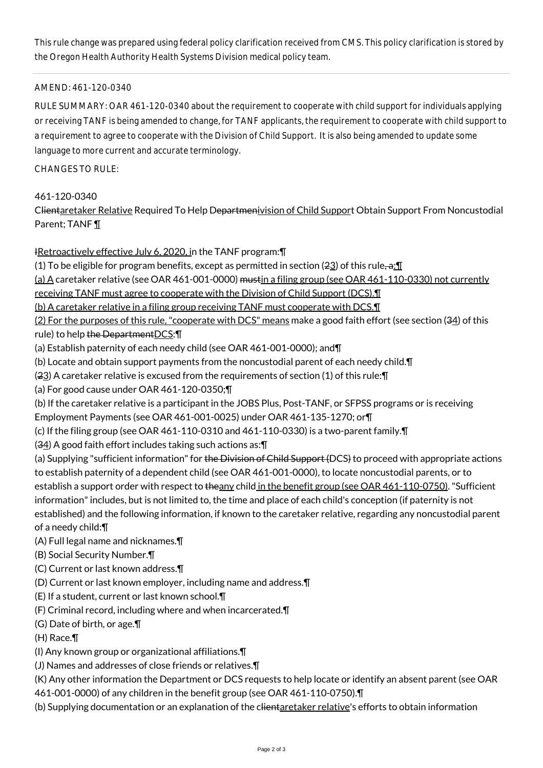This rule change was prepared using federal policy clarification received from CMS. This policy clarification is stored by the Oregon Health Authority Health Systems Division medical policy team.

#### AMEND: 461-120-0340

RULE SUMMARY: OAR 461-120-0340 about the requirement to cooperate with child support for individuals applying or receiving TANF is being amended to change, for TANF applicants, the requirement to cooperate with child support to a requirement to agree to cooperate with the Division of Child Support. It is also being amended to update some language to more current and accurate terminology.

#### CHANGES TO RULE:

## 461-120-0340

Clientaretaker Relative Required To Help Departmenivision of Child Support Obtain Support From Noncustodial Parent; TANF 1

IRetroactively effective July 6, 2020, in the TANF program: [

(1) To be eligible for program benefits, except as permitted in section (23) of this rule,  $a:\mathbb{T}$ 

(a) A caretaker relative (see OAR 461-001-0000) mustin a filing group (see OAR 461-110-0330) not currently

receiving TANF must agree to cooperate with the Division of Child Support (DCS).¶

- (b) A caretaker relative in a filing group receiving TANF must cooperate with DCS.¶
- (2) For the purposes of this rule, "cooperate with DCS" means make a good faith effort (see section (34) of this

rule) to help the DepartmentDCS:¶

- (a) Establish paternity of each needy child (see OAR 461-001-0000); and¶
- (b) Locate and obtain support payments from the noncustodial parent of each needy child.¶
- (23) A caretaker relative is excused from the requirements of section (1) of this rule:¶
- (a) For good cause under OAR 461-120-0350;¶

(b) If the caretaker relative is a participant in the JOBS Plus, Post-TANF, or SFPSS programs or is receiving Employment Payments (see OAR 461-001-0025) under OAR 461-135-1270; or¶

- (c) If the filing group (see OAR 461-110-0310 and 461-110-0330) is a two-parent family.¶
- (34) A good faith effort includes taking such actions as:¶

(a) Supplying "sufficient information" for the Division of Child Support (DCS) to proceed with appropriate actions to establish paternity of a dependent child (see OAR 461-001-0000), to locate noncustodial parents, or to establish a support order with respect to theany child in the benefit group (see OAR 461-110-0750). "Sufficient information" includes, but is not limited to, the time and place of each child's conception (if paternity is not established) and the following information, if known to the caretaker relative, regarding any noncustodial parent of a needy child:¶

- (A) Full legal name and nicknames.¶
- (B) Social Security Number.¶
- (C) Current or last known address.¶
- (D) Current or last known employer, including name and address.¶
- (E) If a student, current or last known school.¶
- (F) Criminal record, including where and when incarcerated.¶
- (G) Date of birth, or age.¶
- (H) Race.¶
- (I) Any known group or organizational affiliations.¶
- (J) Names and addresses of close friends or relatives.¶

(K) Any other information the Department or DCS requests to help locate or identify an absent parent (see OAR 461-001-0000) of any children in the benefit group (see OAR 461-110-0750).¶

(b) Supplying documentation or an explanation of the clientaretaker relative's efforts to obtain information